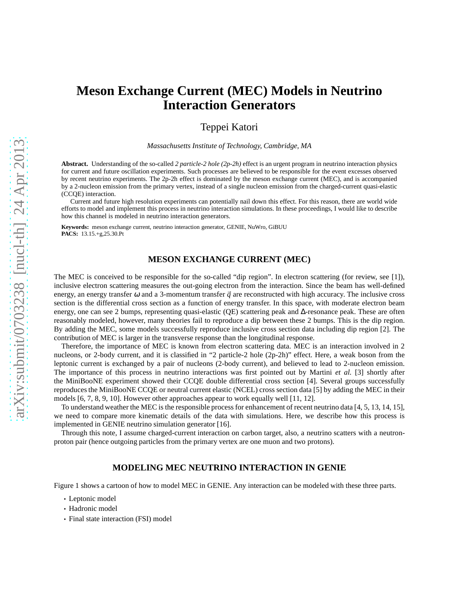# $arXiv:submit/0703238$  [nucl-th] 24 Apr 2013 [arXiv:submit/0703238 \[nucl-th\] 24 Apr 2013](http://arxiv.org/submit/0703238/pdf)

# **Meson Exchange Current (MEC) Models in Neutrino Interaction Generators**

Teppei Katori

*Massachusetts Institute of Technology, Cambridge, MA*

**Abstract.** Understanding of the so-called *2 particle-2 hole (2p-2h)* effect is an urgent program in neutrino interaction physics for current and future oscillation experiments. Such processes are believed to be responsible for the event excesses observed by recent neutrino experiments. The 2p-2h effect is dominated by the meson exchange current (MEC), and is accompanied by a 2-nucleon emission from the primary vertex, instead of a single nucleon emission from the charged-current quasi-elastic (CCQE) interaction.

Current and future high resolution experiments can potentially nail down this effect. For this reason, there are world wide efforts to model and implement this process in neutrino interaction simulations. In these proceedings, I would like to describe how this channel is modeled in neutrino interaction generators.

**Keywords:** meson exchange current, neutrino interaction generator, GENIE, NuWro, GiBUU **PACS:** 13.15.+g,25.30.Pt

# **MESON EXCHANGE CURRENT (MEC)**

The MEC is conceived to be responsible for the so-called "dip region". In electron scattering (for review, see [1]), inclusive electron scattering measures the out-going electron from the interaction. Since the beam has well-defined energy, an energy transfer  $\omega$  and a 3-momentum transfer  $\vec{q}$  are reconstructed with high accuracy. The inclusive cross section is the differential cross section as a function of energy transfer. In this space, with moderate electron beam energy, one can see 2 bumps, representing quasi-elastic (QE) scattering peak and ∆-resonance peak. These are often reasonably modeled, however, many theories fail to reproduce a dip between these 2 bumps. This is the dip region. By adding the MEC, some models successfully reproduce inclusive cross section data including dip region [2]. The contribution of MEC is larger in the transverse response than the longitudinal response.

Therefore, the importance of MEC is known from electron scattering data. MEC is an interaction involved in 2 nucleons, or 2-body current, and it is classified in "2 particle-2 hole (2p-2h)" effect. Here, a weak boson from the leptonic current is exchanged by a pair of nucleons (2-body current), and believed to lead to 2-nucleon emission. The importance of this process in neutrino interactions was first pointed out by Martini *et al.* [3] shortly after the MiniBooNE experiment showed their CCQE double differential cross section [4]. Several groups successfully reproduces the MiniBooNE CCQE or neutral current elastic (NCEL) cross section data [5] by adding the MEC in their models [6, 7, 8, 9, 10]. However other approaches appear to work equally well [11, 12].

To understand weather the MEC is the responsible process for enhancement of recent neutrino data [4, 5, 13, 14, 15], we need to compare more kinematic details of the data with simulations. Here, we describe how this process is implemented in GENIE neutrino simulation generator [16].

Through this note, I assume charged-current interaction on carbon target, also, a neutrino scatters with a neutronproton pair (hence outgoing particles from the primary vertex are one muon and two protons).

# **MODELING MEC NEUTRINO INTERACTION IN GENIE**

Figure 1 shows a cartoon of how to model MEC in GENIE. Any interaction can be modeled with these three parts.

- Leptonic model
- Hadronic model
- Final state interaction (FSI) model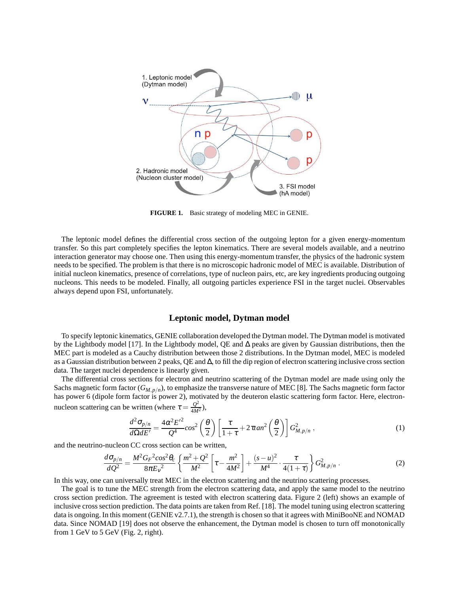

**FIGURE 1.** Basic strategy of modeling MEC in GENIE.

The leptonic model defines the differential cross section of the outgoing lepton for a given energy-momentum transfer. So this part completely specifies the lepton kinematics. There are several models available, and a neutrino interaction generator may choose one. Then using this energy-momentum transfer, the physics of the hadronic system needs to be specified. The problem is that there is no microscopic hadronic model of MEC is available. Distribution of initial nucleon kinematics, presence of correlations, type of nucleon pairs, etc, are key ingredients producing outgoing nucleons. This needs to be modeled. Finally, all outgoing particles experience FSI in the target nuclei. Observables always depend upon FSI, unfortunately.

# **Leptonic model, Dytman model**

To specify leptonic kinematics, GENIE collaboration developed the Dytman model. The Dytman model is motivated by the Lightbody model [17]. In the Lightbody model, QE and ∆ peaks are given by Gaussian distributions, then the MEC part is modeled as a Cauchy distribution between those 2 distributions. In the Dytman model, MEC is modeled as a Gaussian distribution between 2 peaks, QE and ∆, to fill the dip region of electron scattering inclusive cross section data. The target nuclei dependence is linearly given.

The differential cross sections for electron and neutrino scattering of the Dytman model are made using only the Sachs magnetic form factor (*GM*,*p*/*<sup>n</sup>* ), to emphasize the transverse nature of MEC [8]. The Sachs magnetic form factor has power 6 (dipole form factor is power 2), motivated by the deuteron elastic scattering form factor. Here, electronnucleon scattering can be written (where  $\tau = \frac{Q^2}{4M}$  $\frac{Q^2}{4M^2}$ ),

$$
\frac{d^2\sigma_{p/n}}{d\Omega dE'} = \frac{4\alpha^2 E'^2}{Q^4} \cos^2\left(\frac{\theta}{2}\right) \left[\frac{\tau}{1+\tau} + 2\tau \tan^2\left(\frac{\theta}{2}\right)\right] G_{M,p/n}^2,
$$
\n(1)

and the neutrino-nucleon CC cross section can be written,

$$
\frac{d\sigma_{p/n}}{dQ^2} = \frac{M^2 G_F^2 \cos^2 \theta_c}{8\pi E_v^2} \left\{ \frac{m^2 + Q^2}{M^2} \left[ \tau - \frac{m^2}{4M^2} \right] + \frac{(s - u)^2}{M^4} \cdot \frac{\tau}{4(1 + \tau)} \right\} G_{M, p/n}^2 \,. \tag{2}
$$

In this way, one can universally treat MEC in the electron scattering and the neutrino scattering processes.

The goal is to tune the MEC strength from the electron scattering data, and apply the same model to the neutrino cross section prediction. The agreement is tested with electron scattering data. Figure 2 (left) shows an example of inclusive cross section prediction. The data points are taken from Ref. [18]. The model tuning using electron scattering data is ongoing. In this moment (GENIE v2.7.1), the strength is chosen so that it agrees with MiniBooNE and NOMAD data. Since NOMAD [19] does not observe the enhancement, the Dytman model is chosen to turn off monotonically from 1 GeV to 5 GeV (Fig. 2, right).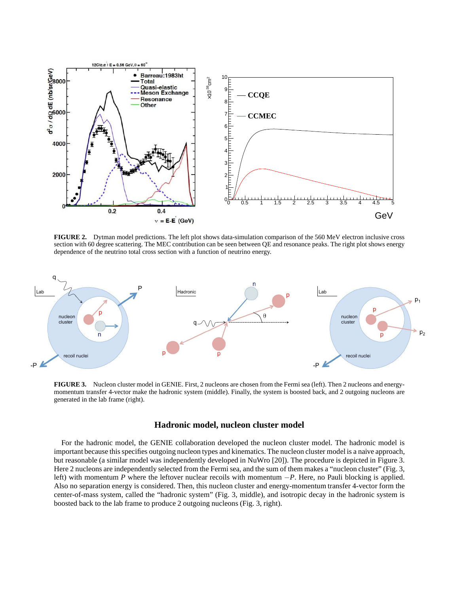

**FIGURE 2.** Dytman model predictions. The left plot shows data-simulation comparison of the 560 MeV electron inclusive cross section with 60 degree scattering. The MEC contribution can be seen between QE and resonance peaks. The right plot shows energy dependence of the neutrino total cross section with a function of neutrino energy.



**FIGURE 3.** Nucleon cluster model in GENIE. First, 2 nucleons are chosen from the Fermi sea (left). Then 2 nucleons and energymomentum transfer 4-vector make the hadronic system (middle). Finally, the system is boosted back, and 2 outgoing nucleons are generated in the lab frame (right).

## **Hadronic model, nucleon cluster model**

For the hadronic model, the GENIE collaboration developed the nucleon cluster model. The hadronic model is important because this specifies outgoing nucleon types and kinematics. The nucleon cluster model is a naive approach, but reasonable (a similar model was independently developed in NuWro [20]). The procedure is depicted in Figure 3. Here 2 nucleons are independently selected from the Fermi sea, and the sum of them makes a "nucleon cluster" (Fig. 3, left) with momentum *P* where the leftover nuclear recoils with momentum −*P*. Here, no Pauli blocking is applied. Also no separation energy is considered. Then, this nucleon cluster and energy-momentum transfer 4-vector form the center-of-mass system, called the "hadronic system" (Fig. 3, middle), and isotropic decay in the hadronic system is boosted back to the lab frame to produce 2 outgoing nucleons (Fig. 3, right).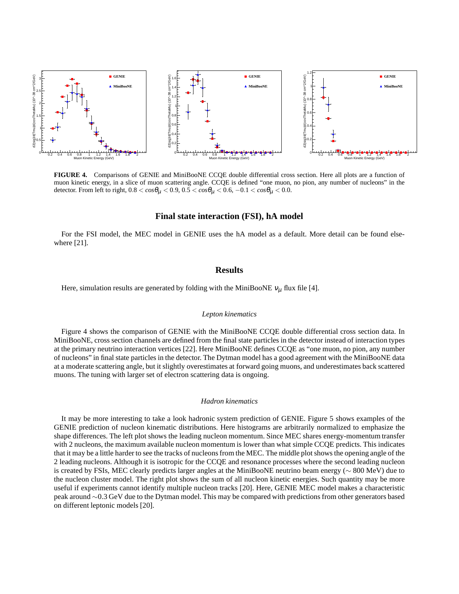

**FIGURE 4.** Comparisons of GENIE and MiniBooNE CCQE double differential cross section. Here all plots are a function of muon kinetic energy, in a slice of muon scattering angle. CCQE is defined "one muon, no pion, any number of nucleons" in the detector. From left to right,  $0.8 < cos\theta_{\mu} < 0.9$ ,  $0.5 < cos\theta_{\mu} < 0.6$ ,  $-0.1 < cos\theta_{\mu} < 0.0$ .

#### **Final state interaction (FSI), hA model**

For the FSI model, the MEC model in GENIE uses the hA model as a default. More detail can be found elsewhere [21].

#### **Results**

Here, simulation results are generated by folding with the MiniBooNE  $v_{\mu}$  flux file [4].

#### *Lepton kinematics*

Figure 4 shows the comparison of GENIE with the MiniBooNE CCQE double differential cross section data. In MiniBooNE, cross section channels are defined from the final state particles in the detector instead of interaction types at the primary neutrino interaction vertices [22]. Here MiniBooNE defines CCQE as "one muon, no pion, any number of nucleons" in final state particles in the detector. The Dytman model has a good agreement with the MiniBooNE data at a moderate scattering angle, but it slightly overestimates at forward going muons, and underestimates back scattered muons. The tuning with larger set of electron scattering data is ongoing.

#### *Hadron kinematics*

It may be more interesting to take a look hadronic system prediction of GENIE. Figure 5 shows examples of the GENIE prediction of nucleon kinematic distributions. Here histograms are arbitrarily normalized to emphasize the shape differences. The left plot shows the leading nucleon momentum. Since MEC shares energy-momentum transfer with 2 nucleons, the maximum available nucleon momentum is lower than what simple CCQE predicts. This indicates that it may be a little harder to see the tracks of nucleons from the MEC. The middle plot shows the opening angle of the 2 leading nucleons. Although it is isotropic for the CCQE and resonance processes where the second leading nucleon is created by FSIs, MEC clearly predicts larger angles at the MiniBooNE neutrino beam energy (∼ 800 MeV) due to the nucleon cluster model. The right plot shows the sum of all nucleon kinetic energies. Such quantity may be more useful if experiments cannot identify multiple nucleon tracks [20]. Here, GENIE MEC model makes a characteristic peak around ∼0.3 GeV due to the Dytman model. This may be compared with predictions from other generators based on different leptonic models [20].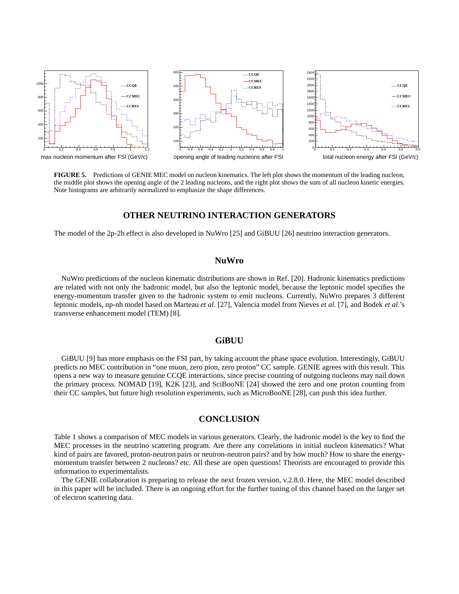

**FIGURE 5.** Predictions of GENIE MEC model on nucleon kinematics. The left plot shows the momentum of the leading nucleon, the middle plot shows the opening angle of the 2 leading nucleons, and the right plot shows the sum of all nucleon kinetic energies. Note histograms are arbitrarily normalized to emphasize the shape differences.

# **OTHER NEUTRINO INTERACTION GENERATORS**

The model of the 2p-2h effect is also developed in NuWro [25] and GiBUU [26] neutrino interaction generators.

# **NuWro**

NuWro predictions of the nucleon kinematic distributions are shown in Ref. [20]. Hadronic kinematics predictions are related with not only the hadronic model, but also the leptonic model, because the leptonic model specifies the energy-momentum transfer given to the hadronic system to emit nucleons. Currently, NuWro prepares 3 different leptonic models, np-nh model based on Marteau *et al.* [27], Valencia model from Nieves *et al.* [7], and Bodek *et al.*'s transverse enhancement model (TEM) [8].

#### **GiBUU**

GiBUU [9] has more emphasis on the FSI part, by taking account the phase space evolution. Interestingly, GiBUU predicts no MEC contribution in "one muon, zero pion, zero proton" CC sample. GENIE agrees with this result. This opens a new way to measure genuine CCQE interactions, since precise counting of outgoing nucleons may nail down the primary process. NOMAD [19], K2K [23], and SciBooNE [24] showed the zero and one proton counting from their CC samples, but future high resolution experiments, such as MicroBooNE [28], can push this idea further.

# **CONCLUSION**

Table 1 shows a comparison of MEC models in various generators. Clearly, the hadronic model is the key to find the MEC processes in the neutrino scattering program. Are there any correlations in initial nucleon kinematics? What kind of pairs are favored, proton-neutron pairs or neutron-neutron pairs? and by how much? How to share the energymomentum transfer between 2 nucleons? etc. All these are open questions! Theorists are encouraged to provide this information to experimentalists.

The GENIE collaboration is preparing to release the next frozen version, v.2.8.0. Here, the MEC model described in this paper will be included. There is an ongoing effort for the further tuning of this channel based on the larger set of electron scattering data.